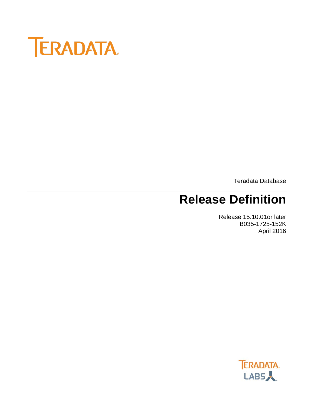

Teradata Database

# **Release Definition**

Release 15.10.01or later B035-1725-152K April 2016

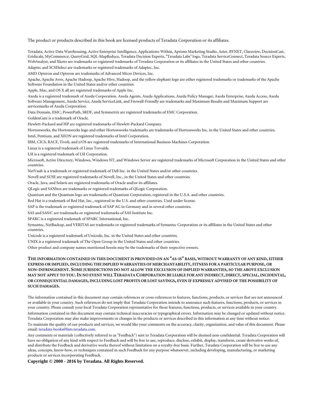The product or products described in this book are licensed products of Teradata Corporation or its affiliates.

Teradata, Active Data Warehousing, Active Enterprise Intelligence, Applications-Within, Aprimo Marketing Studio, Aster, BYNET, Claraview, DecisionCast, Gridscale, MyCommerce, QueryGrid, SQL-MapReduce, Teradata Decision Experts, "Teradata Labs" logo, Teradata ServiceConnect, Teradata Source Experts, WebAnalyst, and Xkoto are trademarks or registered trademarks of Teradata Corporation or its affiliates in the United States and other countries.

Adaptec and SCSISelect are trademarks or registered trademarks of Adaptec, Inc.

AMD Opteron and Opteron are trademarks of Advanced Micro Devices, Inc.

Apache, Apache Avro, Apache Hadoop, Apache Hive, Hadoop, and the yellow elephant logo are either registered trademarks or trademarks of the Apache Software Foundation in the United States and/or other countries.

Apple, Mac, and OS X all are registered trademarks of Apple Inc.

Axeda is a registered trademark of Axeda Corporation. Axeda Agents, Axeda Applications, Axeda Policy Manager, Axeda Enterprise, Axeda Access, Axeda Software Management, Axeda Service, Axeda ServiceLink, and Firewall-Friendly are trademarks and Maximum Results and Maximum Support are servicemarks of Axeda Corporation.

Data Domain, EMC, PowerPath, SRDF, and Symmetrix are registered trademarks of EMC Corporation.

GoldenGate is a trademark of Oracle.

Hewlett-Packard and HP are registered trademarks of Hewlett-Packard Company.

Hortonworks, the Hortonworks logo and other Hortonworks trademarks are trademarks of Hortonworks Inc. in the United States and other countries.

Intel, Pentium, and XEON are registered trademarks of Intel Corporation.

IBM, CICS, RACF, Tivoli, and z/OS are registered trademarks of International Business Machines Corporation.

Linux is a registered trademark of Linus Torvalds.

LSI is a registered trademark of LSI Corporation.

Microsoft, Active Directory, Windows, Windows NT, and Windows Server are registered trademarks of Microsoft Corporation in the United States and other countries.

NetVault is a trademark or registered trademark of Dell Inc. in the United States and/or other countries.

Novell and SUSE are registered trademarks of Novell, Inc., in the United States and other countries.

Oracle, Java, and Solaris are registered trademarks of Oracle and/or its affiliates.

QLogic and SANbox are trademarks or registered trademarks of QLogic Corporation.

Quantum and the Quantum logo are trademarks of Quantum Corporation, registered in the U.S.A. and other countries.

Red Hat is a trademark of Red Hat, Inc., registered in the U.S. and other countries. Used under license.

SAP is the trademark or registered trademark of SAP AG in Germany and in several other countries.

SAS and SAS/C are trademarks or registered trademarks of SAS Institute Inc.

SPARC is a registered trademark of SPARC International, Inc.

Symantec, NetBackup, and VERITAS are trademarks or registered trademarks of Symantec Corporation or its affiliates in the United States and other countries.

Unicode is a registered trademark of Unicode, Inc. in the United States and other countries.

UNIX is a registered trademark of The Open Group in the United States and other countries.

Other product and company names mentioned herein may be the trademarks of their respective owners.

#### **THE INFORMATION CONTAINED IN THIS DOCUMENT IS PROVIDED ON AN "AS-IS" BASIS, WITHOUT WARRANTY OF ANY KIND, EITHER EXPRESS OR IMPLIED, INCLUDING THE IMPLIED WARRANTIES OF MERCHANTABILITY, FITNESS FOR A PARTICULAR PURPOSE, OR NON-INFRINGEMENT. SOME JURISDICTIONS DO NOT ALLOW THE EXCLUSION OF IMPLIED WARRANTIES, SO THE ABOVE EXCLUSION MAY NOT APPLY TO YOU.IN NO EVENT WILL TERADATA CORPORATION BE LIABLE FOR ANY INDIRECT, DIRECT, SPECIAL, INCIDENTAL, OR CONSEQUENTIAL DAMAGES, INCLUDING LOST PROFITS OR LOST SAVINGS, EVEN IF EXPRESSLY ADVISED OF THE POSSIBILITY OF SUCH DAMAGES.**

The information contained in this document may contain references or cross-references to features, functions, products, or services that are not announced or available in your country. Such references do not imply that Teradata Corporation intends to announce such features, functions, products, or services in your country. Please consult your local Teradata Corporation representative for those features, functions, products, or services available in your country.

Information contained in this document may contain technical inaccuracies or typographical errors. Information may be changed or updated without notice. Teradata Corporation may also make improvements or changes in the products or services described in this information at any time without notice.

To maintain the quality of our products and services, we would like your comments on the accuracy, clarity, organization, and value of this document. Please email: teradata-books@lists.teradata.com.

Any comments or materials (collectively referred to as "Feedback") sent to Teradata Corporation will be deemed non-confidential. Teradata Corporation will have no obligation of any kind with respect to Feedback and will be free to use, reproduce, disclose, exhibit, display, transform, create derivative works of, and distribute the Feedback and derivative works thereof without limitation on a royalty-free basis. Further, Teradata Corporation will be free to use any ideas, concepts, know-how, or techniques contained in such Feedback for any purpose whatsoever, including developing, manufacturing, or marketing products or services incorporating Feedback.

**Copyright © 2000 - 2016 by Teradata. All Rights Reserved.**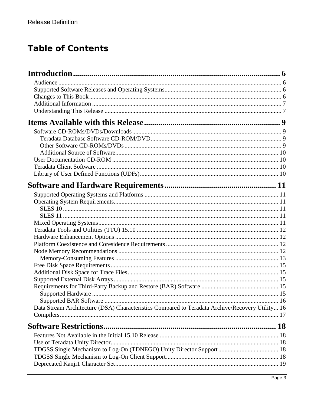## **Table of Contents**

| Data Stream Architecture (DSA) Characteristics Compared to Teradata Archive/Recovery Utility 16 |  |
|-------------------------------------------------------------------------------------------------|--|
|                                                                                                 |  |
| <b>Software Restrictions.</b>                                                                   |  |
|                                                                                                 |  |
|                                                                                                 |  |
|                                                                                                 |  |
|                                                                                                 |  |
|                                                                                                 |  |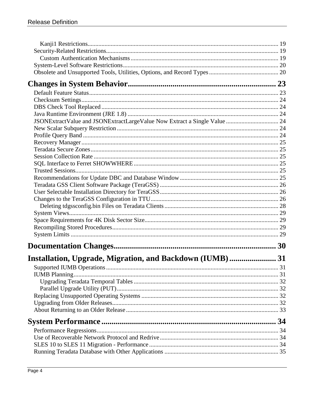| Installation, Upgrade, Migration, and Backdown (IUMB)31 |    |
|---------------------------------------------------------|----|
|                                                         | 31 |
|                                                         |    |
|                                                         |    |
|                                                         |    |
|                                                         |    |
|                                                         |    |
|                                                         |    |
|                                                         |    |
|                                                         |    |
|                                                         |    |
|                                                         |    |
|                                                         |    |
|                                                         |    |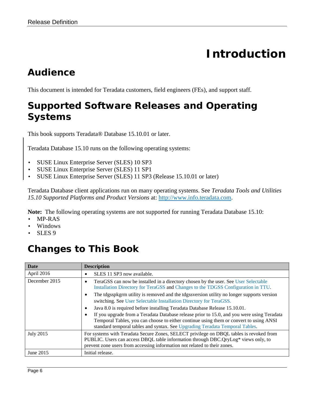# **Introduction**

## <span id="page-5-1"></span><span id="page-5-0"></span>*Audience*

<span id="page-5-2"></span>This document is intended for Teradata customers, field engineers (FEs), and support staff.

## *Supported Software Releases and Operating Systems*

This book supports Teradata® Database 15.10.01 or later.

Teradata Database 15.10 runs on the following operating systems:

- SUSE Linux Enterprise Server (SLES) 10 SP3
- SUSE Linux Enterprise Server (SLES) 11 SP1
- SUSE Linux Enterprise Server (SLES) 11 SP3 (Release 15.10.01 or later)

Teradata Database client applications run on many operating systems. See *Teradata Tools and Utilities 15.10 Supported Platforms and Product Versions* at: [http://www.info.teradata.com.](http://www.info.teradata.com/)

**Note:** The following operating systems are not supported for running Teradata Database 15.10:

- MP-RAS
- Windows
- SLES 9

## <span id="page-5-3"></span>*Changes to This Book*

| <b>Date</b>   | <b>Description</b>                                                                                                                                                                                                                                                   |
|---------------|----------------------------------------------------------------------------------------------------------------------------------------------------------------------------------------------------------------------------------------------------------------------|
| April 2016    | SLES 11 SP3 now available.                                                                                                                                                                                                                                           |
| December 2015 | TeraGSS can now be installed in a directory chosen by the user. See User Selectable<br>Installation Directory for TeraGSS and Changes to the TDGSS Configuration in TTU.                                                                                             |
|               | The tdgsspkgrm utility is removed and the tdgssversion utility no longer supports version<br>٠<br>switching. See User Selectable Installation Directory for TeraGSS.                                                                                                 |
|               | Java 8.0 is required before installing Teradata Database Release 15.10.01.<br>٠                                                                                                                                                                                      |
|               | If you upgrade from a Teradata Database release prior to 15.0, and you were using Teradata<br>Temporal Tables, you can choose to either continue using them or convert to using ANSI<br>standard temporal tables and syntax. See Upgrading Teradata Temporal Tables. |
| July 2015     | For systems with Teradata Secure Zones, SELECT privilege on DBQL tables is revoked from<br>PUBLIC. Users can access DBQL table information through DBC.QryLog* views only, to<br>prevent zone users from accessing information not related to their zones.           |
| June 2015     | Initial release.                                                                                                                                                                                                                                                     |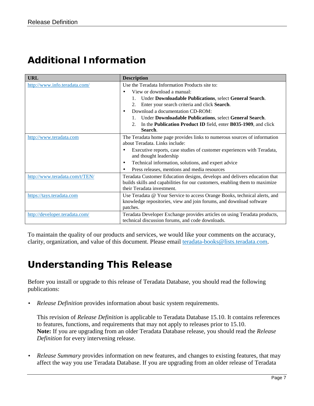## <span id="page-6-0"></span>*Additional Information*

| <b>URL</b>                     | <b>Description</b>                                                          |
|--------------------------------|-----------------------------------------------------------------------------|
| http://www.info.teradata.com/  | Use the Teradata Information Products site to:                              |
|                                | View or download a manual:<br>$\bullet$                                     |
|                                | Under Downloadable Publications, select General Search.                     |
|                                | Enter your search criteria and click Search.<br>2.                          |
|                                | Download a documentation CD-ROM:<br>$\bullet$                               |
|                                | Under Downloadable Publications, select General Search.                     |
|                                | In the Publication Product ID field, enter B035-1909, and click<br>2.       |
|                                | Search.                                                                     |
| http://www.teradata.com        | The Teradata home page provides links to numerous sources of information    |
|                                | about Teradata. Links include:                                              |
|                                | Executive reports, case studies of customer experiences with Teradata,<br>٠ |
|                                | and thought leadership                                                      |
|                                | Technical information, solutions, and expert advice<br>$\bullet$            |
|                                | Press releases, mentions and media resources<br>$\bullet$                   |
| http://www.teradata.com/t/TEN/ | Teradata Customer Education designs, develops and delivers education that   |
|                                | builds skills and capabilities for our customers, enabling them to maximize |
|                                | their Teradata investment.                                                  |
| https://tays.teradata.com      | Use Teradata @ Your Service to access Orange Books, technical alerts, and   |
|                                | knowledge repositories, view and join forums, and download software         |
|                                | patches.                                                                    |
| http://developer.teradata.com/ | Teradata Developer Exchange provides articles on using Teradata products,   |
|                                | technical discussion forums, and code downloads.                            |

To maintain the quality of our products and services, we would like your comments on the accuracy, clarity, organization, and value of this document. Please email [teradata-books@lists.teradata.com.](mailto:teradata-books@lists.teradata.com)

## <span id="page-6-1"></span>*Understanding This Release*

Before you install or upgrade to this release of Teradata Database, you should read the following publications:

• *Release Definition* provides information about basic system requirements.

This revision of *Release Definition* is applicable to Teradata Database 15.10. It contains references to features, functions, and requirements that may not apply to releases prior to 15.10. **Note:** If you are upgrading from an older Teradata Database release, you should read the *Release Definition* for every intervening release.

• *Release Summary* provides information on new features, and changes to existing features, that may affect the way you use Teradata Database. If you are upgrading from an older release of Teradata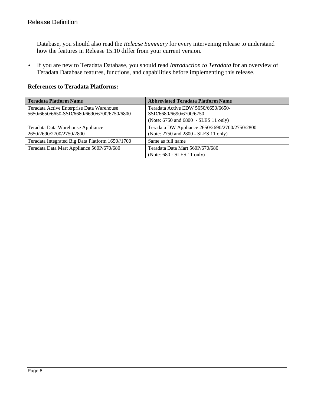Database, you should also read the *Release Summary* for every intervening release to understand how the features in Release 15.10 differ from your current version.

• If you are new to Teradata Database, you should read *Introduction to Teradata* for an overview of Teradata Database features, functions, and capabilities before implementing this release.

#### **References to Teradata Platforms:**

| <b>Teradata Platform Name</b>                    | <b>Abbreviated Teradata Platform Name</b>      |
|--------------------------------------------------|------------------------------------------------|
| Teradata Active Enterprise Data Warehouse        | Teradata Active EDW 5650/6650/6650-            |
| 5650/6650/6650-SSD/6680/6690/6700/6750/6800      | SSD/6680/6690/6700/6750                        |
|                                                  | (Note: 6750 and 6800 - SLES 11 only)           |
| Teradata Data Warehouse Appliance                | Teradata DW Appliance 2650/2690/2700/2750/2800 |
| 2650/2690/2700/2750/2800                         | (Note: 2750 and 2800 - SLES 11 only)           |
| Teradata Integrated Big Data Platform 1650//1700 | Same as full name                              |
| Teradata Data Mart Appliance 560P/670/680        | Teradata Data Mart 560P/670/680                |
|                                                  | (Note: 680 - SLES 11 only)                     |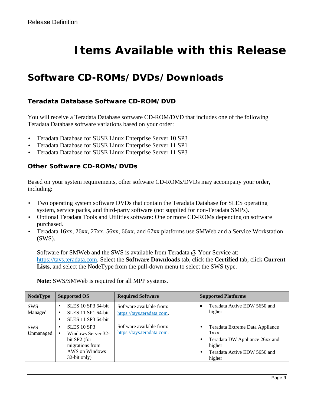# **Items Available with this Release**

### <span id="page-8-1"></span><span id="page-8-0"></span>*Software CD-ROMs/DVDs/Downloads*

#### <span id="page-8-2"></span>**Teradata Database Software CD-ROM/DVD**

You will receive a Teradata Database software CD-ROM/DVD that includes one of the following Teradata Database software variations based on your order:

- Teradata Database for SUSE Linux Enterprise Server 10 SP3
- Teradata Database for SUSE Linux Enterprise Server 11 SP1
- <span id="page-8-3"></span>• Teradata Database for SUSE Linux Enterprise Server 11 SP3

#### **Other Software CD-ROMs/DVDs**

Based on your system requirements, other software CD-ROMs/DVDs may accompany your order, including:

- Two operating system software DVDs that contain the Teradata Database for SLES operating system, service packs, and third-party software (not supplied for non-Teradata SMPs).
- Optional Teradata Tools and Utilities software: One or more CD-ROMs depending on software purchased.
- Teradata 16xx, 26xx, 27xx, 56xx, 66xx, and 67xx platforms use SMWeb and a Service Workstation (SWS).

Software for SMWeb and the SWS is available from Teradata @ Your Service at: [https://tays.teradata.com.](https://tays.teradata.com/) Select the **Software Downloads** tab, click the **Certified** tab, click **Current Lists**, and select the NodeType from the pull-down menu to select the SWS type.

| <b>NodeType</b>         | <b>Supported OS</b>                                                                                           | <b>Required Software</b>                               | <b>Supported Platforms</b>                                                                                                    |
|-------------------------|---------------------------------------------------------------------------------------------------------------|--------------------------------------------------------|-------------------------------------------------------------------------------------------------------------------------------|
| <b>SWS</b><br>Managed   | <b>SLES</b> 10 SP3 64-bit<br><b>SLES</b> 11 SP1 64-bit<br>SLES 11 SP3 64-bit                                  | Software available from:<br>https://tays.teradata.com. | Teradata Active EDW 5650 and<br>higher                                                                                        |
| <b>SWS</b><br>Unmanaged | <b>SLES 10 SP3</b><br>Windows Server 32-<br>bit SP2 (for<br>migrations from<br>AWS on Windows<br>32-bit only) | Software available from:<br>https://tays.teradata.com. | Teradata Extreme Data Appliance<br>1xxx<br>Teradata DW Appliance 26xx and<br>higher<br>Teradata Active EDW 5650 and<br>higher |

**Note:** SWS/SMWeb is required for all MPP systems.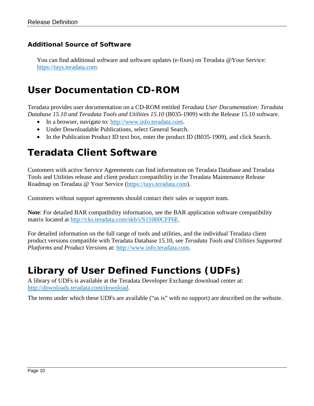#### <span id="page-9-0"></span>**Additional Source of Software**

You can find additional software and software updates (e-fixes) on Teradata @Your Service: [https://tays.teradata.com.](https://tays.teradata.com/)

#### <span id="page-9-1"></span>*User Documentation CD-ROM*

Teradata provides user documentation on a CD-ROM entitled *Teradata User Documentation: Teradata Database 15.10 and Teradata Tools and Utilities 15.10* (B035-1909) with the Release 15.10 software.

- In a browser, navigate to: [http://www.info.teradata.com.](http://www.info.teradata.com/)
- Under Downloadable Publications, select General Search.
- In the Publication Product ID text box, enter the product ID (B035-1909), and click Search.

## <span id="page-9-2"></span>*Teradata Client Software*

Customers with active Service Agreements can find information on Teradata Database and Teradata Tools and Utilities release and client product compatibility in the Teradata Maintenance Release Roadmap on Teradata @ Your Service [\(https://tays.teradata.com\)](https://tays.teradata.com/).

Customers without support agreements should contact their sales or support team.

**Note**: For detailed BAR compatibility information, see the BAR application software compatibility matrix located at [http://cks.teradata.com/skb/i/S11000CFF6E.](http://cks.teradata.com/skb/i/S11000CFF6E)

For detailed information on the full range of tools and utilities, and the individual Teradata client product versions compatible with Teradata Database 15.10, see *Teradata Tools and Utilities Supported Platforms and Product Versions* at: [http://www.info.teradata.com.](http://www.info.teradata.com/)

## <span id="page-9-3"></span>*Library of User Defined Functions (UDFs)*

A library of UDFs is available at the Teradata Developer Exchange download center at: [http://downloads.teradata.com/download.](http://downloads.teradata.com/download)

The terms under which these UDFs are available ("as is" with no support) are described on the website.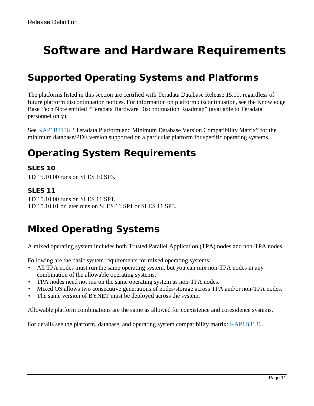# <span id="page-10-0"></span>**Software and Hardware Requirements**

## <span id="page-10-1"></span>*Supported Operating Systems and Platforms*

The platforms listed in this section are certified with Teradata Database Release 15.10, regardless of future platform discontinuation notices. For information on platform discontinuation, see the Knowledge Base Tech Note entitled "Teradata Hardware Discontinuation Roadmap" (available to Teradata personnel only).

See [KAP1B3136](http://cks.teradata.com/support/general/newcase.nsf/i/KAP1B3136?OpenDocument) "Teradata Platform and Minimum Database Version Compatibility Matrix" for the minimum database/PDE version supported on a particular platform for specific operating systems.

## <span id="page-10-2"></span>*Operating System Requirements*

#### <span id="page-10-3"></span>**SLES 10**

<span id="page-10-4"></span>TD 15.10.00 runs on SLES 10 SP3.

#### **SLES 11**

TD 15.10.00 runs on SLES 11 SP1. TD 15.10.01 or later runs on SLES 11 SP1 or SLES 11 SP3.

## <span id="page-10-5"></span>*Mixed Operating Systems*

A mixed operating system includes both Trusted Parallel Application (TPA) nodes and non-TPA nodes.

Following are the basic system requirements for mixed operating systems:

- All TPA nodes must run the same operating system, but you can mix non-TPA nodes in any combination of the allowable operating systems.
- TPA nodes need not run on the same operating system as non-TPA nodes.
- Mixed OS allows two consecutive generations of nodes/storage across TPA and/or non-TPA nodes.
- The same version of BYNET must be deployed across the system.

Allowable platform combinations are the same as allowed for coexistence and coresidence systems.

For details see the platform, database, and operating system compatibility matrix: [KAP1B3136.](http://cks.teradata.com/support/general/newcase.nsf/i/KAP1B3136?OpenDocument)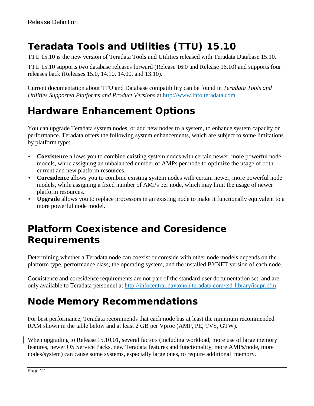## <span id="page-11-0"></span>*Teradata Tools and Utilities (TTU) 15.10*

TTU 15.10 is the new version of Teradata Tools and Utilities released with Teradata Database 15.10.

TTU 15.10 supports two database releases forward (Release 16.0 and Release 16.10) and supports four releases back (Releases 15.0, 14.10, 14.00, and 13.10).

Current documentation about TTU and Database compatibility can be found in *Teradata Tools and Utilities Supported Platforms and Product Versions* at [http://www.info.teradata.com.](http://www.info.teradata.com/)

## <span id="page-11-1"></span>*Hardware Enhancement Options*

You can upgrade Teradata system nodes, or add new nodes to a system, to enhance system capacity or performance. Teradata offers the following system enhancements, which are subject to some limitations by platform type:

- **Coexistence** allows you to combine existing system nodes with certain newer, more powerful node models, while assigning an unbalanced number of AMPs per node to optimize the usage of both current and new platform resources.
- **Coresidence** allows you to combine existing system nodes with certain newer, more powerful node models, while assigning a fixed number of AMPs per node, which may limit the usage of newer platform resources.
- **Upgrade** allows you to replace processors in an existing node to make it functionally equivalent to a more powerful node model.

## <span id="page-11-2"></span>*Platform Coexistence and Coresidence Requirements*

Determining whether a Teradata node can coexist or coreside with other node models depends on the platform type, performance class, the operating system, and the installed BYNET version of each node.

Coexistence and coresidence requirements are not part of the standard user documentation set, and are only available to Teradata personnel at [http://infocentral.daytonoh.teradata.com/tsd-library/isupr.cfm.](http://infocentral.daytonoh.teradata.com/tsd-library/isupr.cfm)

## <span id="page-11-3"></span>*Node Memory Recommendations*

For best performance, Teradata recommends that each node has at least the minimum recommended RAM shown in the table below and at least 2 GB per Vproc (AMP, PE, TVS, GTW).

When upgrading to Release 15.10.01, several factors (including workload, more use of large memory features, newer OS Service Packs, new Teradata features and functionality, more AMPs/node, more nodes/system) can cause some systems, especially large ones, to require additional memory.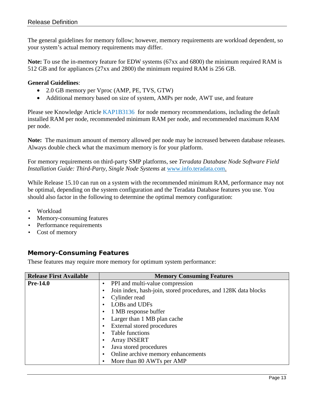The general guidelines for memory follow; however, memory requirements are workload dependent, so your system's actual memory requirements may differ.

**Note:** To use the in-memory feature for EDW systems (67xx and 6800) the minimum required RAM is 512 GB and for appliances (27xx and 2800) the minimum required RAM is 256 GB.

#### **General Guidelines**:

- 2.0 GB memory per Vproc (AMP, PE, TVS, GTW)
- Additional memory based on size of system, AMPs per node, AWT use, and feature

Please see Knowledge Article [KAP1B3136](http://cks.teradata.com/support/general/newcase.nsf/i/KAP1B3136?OpenDocument) for node memory recommendations, including the default installed RAM per node, recommended minimum RAM per node, and recommended maximum RAM per node.

**Note:** The maximum amount of memory allowed per node may be increased between database releases. Always double check what the maximum memory is for your platform.

For memory requirements on third-party SMP platforms, see *Teradata Database Node Software Field Installation Guide: Third-Party, Single Node Systems* at [www.info.teradata.com.](http://www.info.teradata.com/)

While Release 15.10 can run on a system with the recommended minimum RAM, performance may not be optimal, depending on the system configuration and the Teradata Database features you use. You should also factor in the following to determine the optimal memory configuration:

- Workload
- Memory-consuming features
- Performance requirements
- Cost of memory

#### <span id="page-12-0"></span>**Memory-Consuming Features**

These features may require more memory for optimum system performance:

| <b>Release First Available</b> | <b>Memory Consuming Features</b>                                            |
|--------------------------------|-----------------------------------------------------------------------------|
| <b>Pre-14.0</b>                | PPI and multi-value compression<br>$\bullet$                                |
|                                | Join index, hash-join, stored procedures, and 128K data blocks<br>$\bullet$ |
|                                | Cylinder read                                                               |
|                                | LOBs and UDFs                                                               |
|                                | 1 MB response buffer                                                        |
|                                | Larger than 1 MB plan cache                                                 |
|                                | External stored procedures                                                  |
|                                | Table functions                                                             |
|                                | <b>Array INSERT</b>                                                         |
|                                | Java stored procedures                                                      |
|                                | Online archive memory enhancements                                          |
|                                | More than 80 AWTs per AMP<br>٠                                              |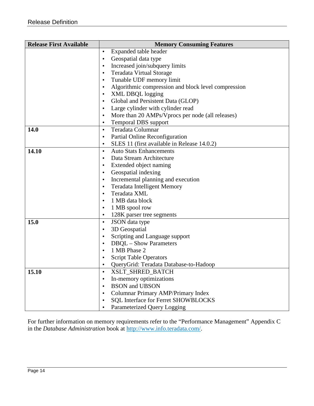| <b>Release First Available</b> | <b>Memory Consuming Features</b>                                                                     |
|--------------------------------|------------------------------------------------------------------------------------------------------|
|                                | Expanded table header<br>$\bullet$                                                                   |
|                                | Geospatial data type<br>$\bullet$                                                                    |
|                                | Increased join/subquery limits<br>$\bullet$                                                          |
|                                | <b>Teradata Virtual Storage</b><br>$\bullet$                                                         |
|                                | Tunable UDF memory limit<br>$\bullet$                                                                |
|                                | Algorithmic compression and block level compression<br>$\bullet$                                     |
|                                | XML DBQL logging<br>$\bullet$                                                                        |
|                                | Global and Persistent Data (GLOP)<br>$\bullet$                                                       |
|                                | Large cylinder with cylinder read<br>$\bullet$                                                       |
|                                | More than 20 AMPs/Vprocs per node (all releases)<br>$\bullet$                                        |
|                                | <b>Temporal DBS</b> support<br>$\bullet$                                                             |
| <b>14.0</b>                    | Teradata Columnar<br>$\bullet$                                                                       |
|                                | Partial Online Reconfiguration<br>$\bullet$                                                          |
|                                | SLES 11 (first available in Release 14.0.2)<br>$\bullet$                                             |
| 14.10                          | <b>Auto Stats Enhancements</b><br>$\bullet$                                                          |
|                                | Data Stream Architecture<br>$\bullet$                                                                |
|                                | Extended object naming<br>$\bullet$                                                                  |
|                                | Geospatial indexing<br>$\bullet$                                                                     |
|                                | Incremental planning and execution<br>$\bullet$                                                      |
|                                | <b>Teradata Intelligent Memory</b><br>$\bullet$                                                      |
|                                | Teradata XML<br>$\bullet$                                                                            |
|                                | 1 MB data block<br>$\bullet$                                                                         |
|                                | 1 MB spool row<br>$\bullet$                                                                          |
|                                | 128K parser tree segments<br>$\bullet$                                                               |
| 15.0                           | JSON data type<br>$\bullet$                                                                          |
|                                | 3D Geospatial<br>$\bullet$                                                                           |
|                                | Scripting and Language support<br>$\bullet$                                                          |
|                                | <b>DBQL</b> – Show Parameters<br>$\bullet$                                                           |
|                                | 1 MB Phase 2<br>$\bullet$                                                                            |
|                                | <b>Script Table Operators</b>                                                                        |
|                                | QueryGrid: Teradata Database-to-Hadoop<br>$\bullet$                                                  |
| 15.10                          | XSLT_SHRED_BATCH<br>$\bullet$                                                                        |
|                                | In-memory optimizations<br>٠<br><b>BSON</b> and <b>UBSON</b>                                         |
|                                | $\bullet$                                                                                            |
|                                | <b>Columnar Primary AMP/Primary Index</b><br>$\bullet$<br><b>SQL Interface for Ferret SHOWBLOCKS</b> |
|                                | $\bullet$                                                                                            |
|                                | Parameterized Query Logging<br>٠                                                                     |

For further information on memory requirements refer to the "Performance Management" Appendix C in the *Database Administration* book at [http://www.info.teradata.com/.](http://www.info.teradata.com/)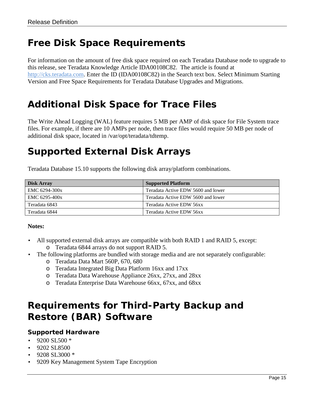## <span id="page-14-0"></span>*Free Disk Space Requirements*

For information on the amount of free disk space required on each Teradata Database node to upgrade to this release, see Teradata Knowledge Article IDA00108C82. The article is found at [http://cks.teradata.com.](http://cks.teradata.com/) Enter the ID (IDA00108C82) in the Search text box. Select Minimum Starting Version and Free Space Requirements for Teradata Database Upgrades and Migrations.

### <span id="page-14-1"></span>*Additional Disk Space for Trace Files*

The Write Ahead Logging (WAL) feature requires 5 MB per AMP of disk space for File System trace files. For example, if there are 10 AMPs per node, then trace files would require 50 MB per node of additional disk space, located in /var/opt/teradata/tdtemp.

### <span id="page-14-2"></span>*Supported External Disk Arrays*

Teradata Database 15.10 supports the following disk array/platform combinations.

| Disk Array    | <b>Supported Platform</b>          |
|---------------|------------------------------------|
| EMC 6294-300x | Teradata Active EDW 5600 and lower |
| EMC 6295-400x | Teradata Active EDW 5600 and lower |
| Teradata 6843 | Teradata Active EDW 56xx           |
| Teradata 6844 | Teradata Active EDW 56xx           |

#### **Notes:**

- All supported external disk arrays are compatible with both RAID 1 and RAID 5, except:
	- o Teradata 6844 arrays do not support RAID 5.
- The following platforms are bundled with storage media and are not separately configurable:
	- o Teradata Data Mart 560P, 670, 680
	- o Teradata Integrated Big Data Platform 16xx and 17xx
	- o Teradata Data Warehouse Appliance 26xx, 27xx, and 28xx
	- o Teradata Enterprise Data Warehouse 66xx, 67xx, and 68xx

## <span id="page-14-3"></span>*Requirements for Third-Party Backup and Restore (BAR) Software*

#### <span id="page-14-4"></span>**Supported Hardware**

- $\cdot$  9200 SL500  $*$
- 9202 SL8500
- $\cdot$  9208 SL3000  $*$
- 9209 Key Management System Tape Encryption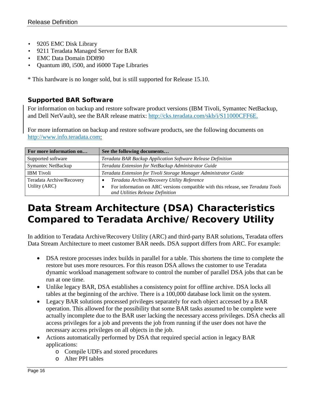- 9205 EMC Disk Library
- 9211 Teradata Managed Server for BAR
- EMC Data Domain DD890
- Quantum i80, i500, and i6000 Tape Libraries

\* This hardware is no longer sold, but is still supported for Release 15.10.

#### <span id="page-15-0"></span>**Supported BAR Software**

<span id="page-15-2"></span>For information on backup and restore software product versions (IBM Tivoli, Symantec NetBackup, and Dell NetVault), see the BAR release matrix: [http://cks.teradata.com/skb/i/S11000CFF6E.](http://cks.teradata.com/skb/i/S11000CFF6E)

For more information on backup and restore software products, see the following documents on [http://www.info.teradata.com:](http://www.info.teradata.com/)

| For more information on                    | See the following documents                                                                                                                                         |  |
|--------------------------------------------|---------------------------------------------------------------------------------------------------------------------------------------------------------------------|--|
| Supported software                         | <b>Teradata BAR Backup Application Software Release Definition</b>                                                                                                  |  |
| <b>Symantec NetBackup</b>                  | Teradata Extension for NetBackup Administrator Guide                                                                                                                |  |
| <b>IBM</b> Tivoli                          | Teradata Extension for Tivoli Storage Manager Administrator Guide                                                                                                   |  |
| Teradata Archive/Recovery<br>Utility (ARC) | Teradata Archive/Recovery Utility Reference<br>For information on ARC versions compatible with this release, see Teradata Tools<br>and Utilities Release Definition |  |

## <span id="page-15-1"></span>*Data Stream Architecture (DSA) Characteristics Compared to Teradata Archive/Recovery Utility*

In addition to Teradata Archive/Recovery Utility (ARC) and third-party BAR solutions, Teradata offers Data Stream Architecture to meet customer BAR needs. DSA support differs from ARC. For example:

- DSA restore processes index builds in parallel for a table. This shortens the time to complete the restore but uses more resources. For this reason DSA allows the customer to use Teradata dynamic workload management software to control the number of parallel DSA jobs that can be run at one time.
- Unlike legacy BAR, DSA establishes a consistency point for offline archive. DSA locks all tables at the beginning of the archive. There is a 100,000 database lock limit on the system.
- Legacy BAR solutions processed privileges separately for each object accessed by a BAR operation. This allowed for the possibility that some BAR tasks assumed to be complete were actually incomplete due to the BAR user lacking the necessary access privileges. DSA checks all access privileges for a job and prevents the job from running if the user does not have the necessary access privileges on all objects in the job.
- Actions automatically performed by DSA that required special action in legacy BAR applications:
	- o Compile UDFs and stored procedures
	- o Alter PPI tables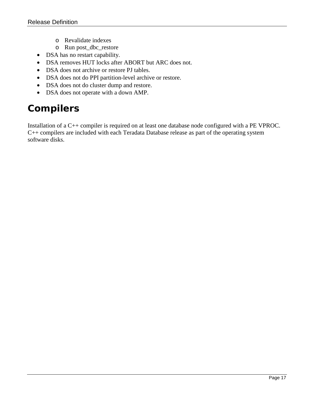- o Revalidate indexes
- o Run post\_dbc\_restore
- DSA has no restart capability.
- DSA removes HUT locks after ABORT but ARC does not.
- DSA does not archive or restore PJ tables.
- DSA does not do PPI partition-level archive or restore.
- DSA does not do cluster dump and restore.
- DSA does not operate with a down AMP.

## <span id="page-16-0"></span>*Compilers*

Installation of a C++ compiler is required on at least one database node configured with a PE VPROC. C++ compilers are included with each Teradata Database release as part of the operating system software disks.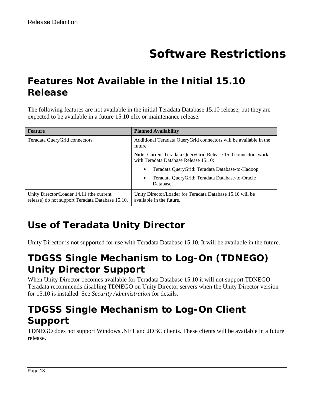# **Software Restrictions**

## <span id="page-17-1"></span><span id="page-17-0"></span>*Features Not Available in the Initial 15.10 Release*

The following features are not available in the initial Teradata Database 15.10 release, but they are expected to be available in a future 15.10 efix or maintenance release.

| <b>Feature</b>                                                                               | <b>Planned Availability</b>                                                                            |  |
|----------------------------------------------------------------------------------------------|--------------------------------------------------------------------------------------------------------|--|
| Teradata QueryGrid connectors                                                                | Additional Teradata QueryGrid connectors will be available in the<br>future.                           |  |
|                                                                                              | Note: Current Teradata QueryGrid Release 15.0 connectors work<br>with Teradata Database Release 15.10: |  |
|                                                                                              | Teradata QueryGrid: Teradata Database-to-Hadoop<br>$\bullet$                                           |  |
|                                                                                              | Teradata QueryGrid: Teradata Database-to-Oracle<br>$\bullet$<br>Database                               |  |
| Unity Director/Loader 14.11 (the current<br>release) do not support Teradata Database 15.10. | Unity Director/Loader for Teradata Database 15.10 will be<br>available in the future.                  |  |

## <span id="page-17-2"></span>*Use of Teradata Unity Director*

<span id="page-17-3"></span>Unity Director is not supported for use with Teradata Database 15.10. It will be available in the future.

## *TDGSS Single Mechanism to Log-On (TDNEGO) Unity Director Support*

When Unity Director becomes available for Teradata Database 15.10 it will not support TDNEGO. Teradata recommends disabling TDNEGO on Unity Director servers when the Unity Director version for 15.10 is installed. See *Security Administration* for details.

## <span id="page-17-4"></span>*TDGSS Single Mechanism to Log-On Client Support*

TDNEGO does not support Windows .NET and JDBC clients. These clients will be available in a future release.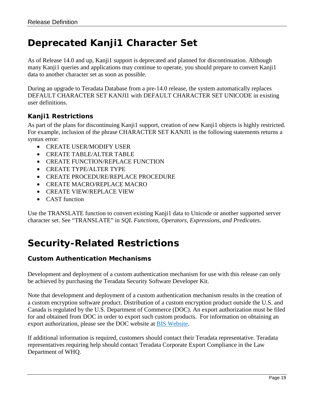## <span id="page-18-0"></span>*Deprecated Kanji1 Character Set*

As of Release 14.0 and up, Kanji1 support is deprecated and planned for discontinuation. Although many Kanji1 queries and applications may continue to operate, you should prepare to convert Kanji1 data to another character set as soon as possible.

During an upgrade to Teradata Database from a pre-14.0 release, the system automatically replaces DEFAULT CHARACTER SET KANJI1 with DEFAULT CHARACTER SET UNICODE in existing user definitions.

#### <span id="page-18-1"></span>**Kanji1 Restrictions**

As part of the plans for discontinuing Kanji1 support, creation of new Kanji1 objects is highly restricted. For example, inclusion of the phrase CHARACTER SET KANJI1 in the following statements returns a syntax error:

- CREATE USER/MODIFY USER
- CREATE TABLE/ALTER TABLE
- CREATE FUNCTION/REPLACE FUNCTION
- CREATE TYPE/ALTER TYPE
- CREATE PROCEDURE/REPLACE PROCEDURE
- CREATE MACRO/REPLACE MACRO
- CREATE VIEW/REPLACE VIEW
- **CAST** function

Use the TRANSLATE function to convert existing Kanji1 data to Unicode or another supported server character set. See "TRANSLATE" in *SQL Functions, Operators, Expressions, and Predicates*.

## <span id="page-18-2"></span>*Security-Related Restrictions*

#### <span id="page-18-3"></span>**Custom Authentication Mechanisms**

Development and deployment of a custom authentication mechanism for use with this release can only be achieved by purchasing the Teradata Security Software Developer Kit.

Note that development and deployment of a custom authentication mechanism results in the creation of a custom encryption software product. Distribution of a custom encryption product outside the U.S. and Canada is regulated by the U.S. Department of Commerce (DOC). An export authorization must be filed for and obtained from DOC in order to export such custom products. For information on obtaining an export authorization, please see the DOC website at **BIS Website**.

If additional information is required, customers should contact their Teradata representative. Teradata representatives requiring help should contact Teradata Corporate Export Compliance in the Law Department of WHQ.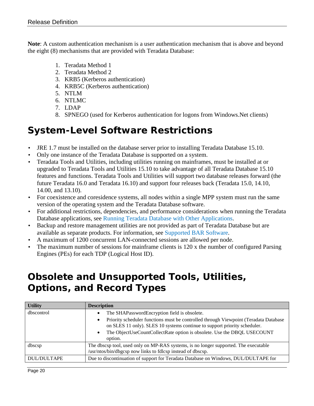**Note**: A custom authentication mechanism is a user authentication mechanism that is above and beyond the eight (8) mechanisms that are provided with Teradata Database:

- 1. Teradata Method 1
- 2. Teradata Method 2
- 3. KRB5 (Kerberos authentication)
- 4. KRB5C (Kerberos authentication)
- 5. NTLM
- 6. NTLMC
- 7. LDAP
- 8. SPNEGO (used for Kerberos authentication for logons from Windows.Net clients)

### <span id="page-19-0"></span>*System-Level Software Restrictions*

- JRE 1.7 must be installed on the database server prior to installing Teradata Database 15.10.
- Only one instance of the Teradata Database is supported on a system.
- Teradata Tools and Utilities, including utilities running on mainframes, must be installed at or upgraded to Teradata Tools and Utilities 15.10 to take advantage of all Teradata Database 15.10 features and functions. Teradata Tools and Utilities will support two database releases forward (the future Teradata 16.0 and Teradata 16.10) and support four releases back (Teradata 15.0, 14.10, 14.00, and 13.10).
- For coexistence and coresidence systems, all nodes within a single MPP system must run the same version of the operating system and the Teradata Database software.
- For additional restrictions, dependencies, and performance considerations when running the Teradata Database applications, see [Running Teradata Database with Other Applications.](#page-33-4)
- Backup and restore management utilities are not provided as part of Teradata Database but are available as separate products. For information, see [Supported BAR Software.](#page-15-2)
- A maximum of 1200 concurrent LAN-connected sessions are allowed per node.
- The maximum number of sessions for mainframe clients is 120 x the number of configured Parsing Engines (PEs) for each TDP (Logical Host ID).

## <span id="page-19-1"></span>*Obsolete and Unsupported Tools, Utilities, Options, and Record Types*

| <b>Utility</b>     | <b>Description</b>                                                                                                                                                                                                                                                                                                                     |
|--------------------|----------------------------------------------------------------------------------------------------------------------------------------------------------------------------------------------------------------------------------------------------------------------------------------------------------------------------------------|
| dbscontrol         | The SHAPasswordEncryption field is obsolete.<br>٠<br>Priority scheduler functions must be controlled through Viewpoint (Teradata Database<br>$\bullet$<br>on SLES 11 only). SLES 10 systems continue to support priority scheduler.<br>The ObjectUseCountCollectRate option is obsolete. Use the DBQL USECOUNT<br>$\bullet$<br>option. |
| dbscsp             | The dbscsp tool, used only on MP-RAS systems, is no longer supported. The executable<br>/usr/ntos/bin/dbgcsp now links to fdlcsp instead of dbscsp.                                                                                                                                                                                    |
| <b>DUL/DULTAPE</b> | Due to discontinuation of support for Teradata Database on Windows, DUL/DULTAPE for                                                                                                                                                                                                                                                    |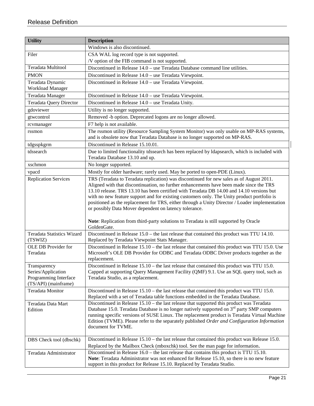| <b>Utility</b>                                                                      | <b>Description</b>                                                                                                                                                                                                                                                                                                                                                                                                                                                                                                                                                                                                                                  |  |
|-------------------------------------------------------------------------------------|-----------------------------------------------------------------------------------------------------------------------------------------------------------------------------------------------------------------------------------------------------------------------------------------------------------------------------------------------------------------------------------------------------------------------------------------------------------------------------------------------------------------------------------------------------------------------------------------------------------------------------------------------------|--|
|                                                                                     | Windows is also discontinued.                                                                                                                                                                                                                                                                                                                                                                                                                                                                                                                                                                                                                       |  |
| Filer                                                                               | CSA WAL log record type is not supported.                                                                                                                                                                                                                                                                                                                                                                                                                                                                                                                                                                                                           |  |
|                                                                                     | /V option of the FIB command is not supported.                                                                                                                                                                                                                                                                                                                                                                                                                                                                                                                                                                                                      |  |
| <b>Teradata Multitool</b>                                                           | Discontinued in Release 14.0 – use Teradata Database command line utilities.                                                                                                                                                                                                                                                                                                                                                                                                                                                                                                                                                                        |  |
| <b>PMON</b>                                                                         | Discontinued in Release 14.0 - use Teradata Viewpoint.                                                                                                                                                                                                                                                                                                                                                                                                                                                                                                                                                                                              |  |
| Teradata Dynamic<br><b>Workload Manager</b>                                         | Discontinued in Release 14.0 - use Teradata Viewpoint.                                                                                                                                                                                                                                                                                                                                                                                                                                                                                                                                                                                              |  |
| Teradata Manager                                                                    | Discontinued in Release 14.0 – use Teradata Viewpoint.                                                                                                                                                                                                                                                                                                                                                                                                                                                                                                                                                                                              |  |
| <b>Teradata Query Director</b>                                                      | Discontinued in Release 14.0 - use Teradata Unity.                                                                                                                                                                                                                                                                                                                                                                                                                                                                                                                                                                                                  |  |
| gdoviewer                                                                           | Utility is no longer supported.                                                                                                                                                                                                                                                                                                                                                                                                                                                                                                                                                                                                                     |  |
| gtwcontrol                                                                          | Removed -b option. Deprecated logons are no longer allowed.                                                                                                                                                                                                                                                                                                                                                                                                                                                                                                                                                                                         |  |
| rcvmanager                                                                          | F7 help is not available.                                                                                                                                                                                                                                                                                                                                                                                                                                                                                                                                                                                                                           |  |
| rssmon                                                                              | The rssmon utility (Resource Sampling System Monitor) was only usable on MP-RAS systems,<br>and is obsolete now that Teradata Database is no longer supported on MP-RAS.                                                                                                                                                                                                                                                                                                                                                                                                                                                                            |  |
| tdgsspkgrm                                                                          | Discontinued in Release 15.10.01.                                                                                                                                                                                                                                                                                                                                                                                                                                                                                                                                                                                                                   |  |
| tdssearch                                                                           | Due to limited functionality tdssearch has been replaced by Idapsearch, which is included with<br>Teradata Database 13.10 and up.                                                                                                                                                                                                                                                                                                                                                                                                                                                                                                                   |  |
| xschmon                                                                             | No longer supported.                                                                                                                                                                                                                                                                                                                                                                                                                                                                                                                                                                                                                                |  |
| vpacd                                                                               | Mostly for older hardware; rarely used. May be ported to open-PDE (Linux).                                                                                                                                                                                                                                                                                                                                                                                                                                                                                                                                                                          |  |
| <b>Replication Services</b>                                                         | TRS (Teradata to Teradata replication) was discontinued for new sales as of August 2011.<br>Aligned with that discontinuation, no further enhancements have been made since the TRS<br>13.10 release. TRS 13.10 has been certified with Teradata DB 14.00 and 14.10 versions but<br>with no new feature support and for existing customers only. The Unity product portfolio is<br>positioned as the replacement for TRS, either through a Unity Director / Loader implementation<br>or possibly Data Mover dependent on latency tolerance.<br>Note: Replication from third-party solutions to Teradata is still supported by Oracle<br>GoldenGate. |  |
| <b>Teradata Statistics Wizard</b><br>(TSWIZ)                                        | Discontinued in Release $15.0$ – the last release that contained this product was TTU 14.10.<br>Replaced by Teradata Viewpoint Stats Manager.                                                                                                                                                                                                                                                                                                                                                                                                                                                                                                       |  |
| OLE DB Provider for<br>Teradata                                                     | Discontinued in Release 15.10 - the last release that contained this product was TTU 15.0. Use<br>Microsoft's OLE DB Provider for ODBC and Teradata ODBC Driver products together as the<br>replacement.                                                                                                                                                                                                                                                                                                                                                                                                                                            |  |
| Transparency<br>Series/Application<br>Programming Interface<br>(TS/API) (mainframe) | Discontinued in Release 15.10 – the last release that contained this product was TTU 15.0.<br>Capped at supporting Query Management Facility (QMF) 9.1. Use an SQL query tool, such as<br>Teradata Studio, as a replacement.                                                                                                                                                                                                                                                                                                                                                                                                                        |  |
| Teradata Monitor                                                                    | Discontinued in Release 15.10 – the last release that contained this product was TTU 15.0.<br>Replaced with a set of Teradata table functions embedded in the Teradata Database.                                                                                                                                                                                                                                                                                                                                                                                                                                                                    |  |
| Teradata Data Mart<br>Edition                                                       | Discontinued in Release $15.10$ – the last release that supported this product was Teradata<br>Database 15.0. Teradata Database is no longer natively supported on $3rd$ party SMP computers<br>running specific versions of SUSE Linux. The replacement product is Teradata Virtual Machine<br>Edition (TVME). Please refer to the separately published Order and Configuration Information<br>document for TVME.                                                                                                                                                                                                                                  |  |
| DBS Check tool (dbschk)                                                             | Discontinued in Release 15.10 – the last release that contained this product was Release 15.0.                                                                                                                                                                                                                                                                                                                                                                                                                                                                                                                                                      |  |
| Teradata Administrator                                                              | Replaced by the Mailbox Check (mboxchk) tool. See the man page for information.<br>Discontinued in Release 16.0 – the last release that contains this product is TTU 15.10.<br>Note: Teradata Administrator was not enhanced for Release 15.10, so there is no new feature<br>support in this product for Release 15.10. Replaced by Teradata Studio.                                                                                                                                                                                                                                                                                               |  |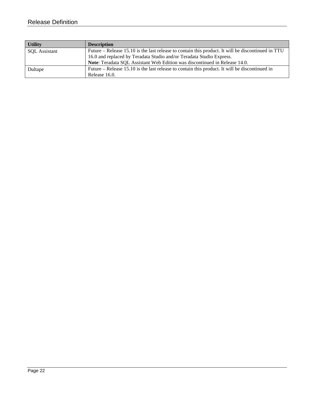| <b>Utility</b>       | <b>Description</b>                                                                                 |
|----------------------|----------------------------------------------------------------------------------------------------|
| <b>SQL</b> Assistant | Future – Release 15.10 is the last release to contain this product. It will be discontinued in TTU |
|                      | 16.0 and replaced by Teradata Studio and/or Teradata Studio Express.                               |
|                      | Note: Teradata SQL Assistant Web Edition was discontinued in Release 14.0.                         |
| Dultape              | Future – Release 15.10 is the last release to contain this product. It will be discontinued in     |
|                      | Release 16.0.                                                                                      |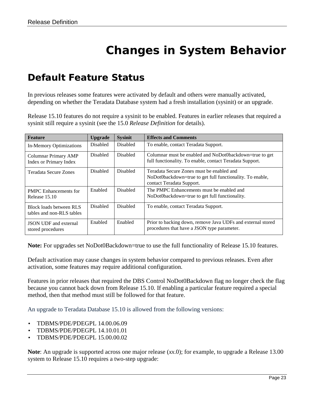# **Changes in System Behavior**

### <span id="page-22-1"></span><span id="page-22-0"></span>*Default Feature Status*

In previous releases some features were activated by default and others were manually activated, depending on whether the Teradata Database system had a fresh installation (sysinit) or an upgrade.

Release 15.10 features do not require a sysinit to be enabled. Features in earlier releases that required a sysinit still require a sysinit (see the 15.0 *Release Definition* for details).

| <b>Feature</b>                                        | <b>Upgrade</b>  | <b>Sysinit</b>  | <b>Effects and Comments</b>                                                                                                         |
|-------------------------------------------------------|-----------------|-----------------|-------------------------------------------------------------------------------------------------------------------------------------|
| In-Memory Optimizations                               | <b>Disabled</b> | <b>Disabled</b> | To enable, contact Teradata Support.                                                                                                |
| Columnar Primary AMP<br><b>Index or Primary Index</b> | <b>Disabled</b> | <b>Disabled</b> | Columnar must be enabled and NoDot0backdown=true to get<br>full functionality. To enable, contact Teradata Support.                 |
| Teradata Secure Zones                                 | Disabled        | <b>Disabled</b> | Teradata Secure Zones must be enabled and<br>NoDot0backdown=true to get full functionality. To enable,<br>contact Teradata Support. |
| <b>PMPC</b> Enhancements for<br>Release 15.10         | Enabled         | <b>Disabled</b> | The PMPC Enhancements must be enabled and<br>NoDot0backdown=true to get full functionality.                                         |
| Block loads between RLS<br>tables and non-RLS tables  | <b>Disabled</b> | <b>Disabled</b> | To enable, contact Teradata Support.                                                                                                |
| <b>JSON UDF</b> and external<br>stored procedures     | Enabled         | Enabled         | Prior to backing down, remove Java UDFs and external stored<br>procedures that have a JSON type parameter.                          |

**Note:** For upgrades set NoDot0Backdown=true to use the full functionality of Release 15.10 features.

Default activation may cause changes in system behavior compared to previous releases. Even after activation, some features may require additional configuration.

Features in prior releases that required the DBS Control NoDot0Backdown flag no longer check the flag because you cannot back down from Release 15.10. If enabling a particular feature required a special method, then that method must still be followed for that feature.

An upgrade to Teradata Database 15.10 is allowed from the following versions:

- TDBMS/PDE/PDEGPL 14.00.06.09
- TDBMS/PDE/PDEGPL 14.10.01.01
- TDBMS/PDE/PDEGPL 15.00.00.02

**Note**: An upgrade is supported across one major release (*xx*.0); for example, to upgrade a Release 13.00 system to Release 15.10 requires a two-step upgrade: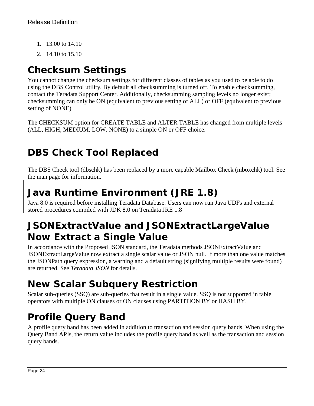- 1. 13.00 to 14.10
- 2. 14.10 to 15.10

## <span id="page-23-0"></span>*Checksum Settings*

You cannot change the checksum settings for different classes of tables as you used to be able to do using the DBS Control utility. By default all checksumming is turned off. To enable checksumming, contact the Teradata Support Center. Additionally, checksumming sampling levels no longer exist; checksumming can only be ON (equivalent to previous setting of ALL) or OFF (equivalent to previous setting of NONE).

The CHECKSUM option for CREATE TABLE and ALTER TABLE has changed from multiple levels (ALL, HIGH, MEDIUM, LOW, NONE) to a simple ON or OFF choice.

## <span id="page-23-1"></span>*DBS Check Tool Replaced*

The DBS Check tool (dbschk) has been replaced by a more capable Mailbox Check (mboxchk) tool. See the man page for information.

## <span id="page-23-2"></span>*Java Runtime Environment (JRE 1.8)*

Java 8.0 is required before installing Teradata Database. Users can now run Java UDFs and external stored procedures compiled with JDK 8.0 on Teradata JRE 1.8

## <span id="page-23-3"></span>*JSONExtractValue and JSONExtractLargeValue Now Extract a Single Value*

In accordance with the Proposed JSON standard, the Teradata methods JSONExtractValue and JSONExtractLargeValue now extract a single scalar value or JSON null. If more than one value matches the JSONPath query expression, a warning and a default string (signifying multiple results were found) are returned. See *Teradata JSON* for details.

## <span id="page-23-4"></span>*New Scalar Subquery Restriction*

Scalar sub-queries (SSQ) are sub-queries that result in a single value. SSQ is not supported in table operators with multiple ON clauses or ON clauses using PARTITION BY or HASH BY.

## <span id="page-23-5"></span>*Profile Query Band*

A profile query band has been added in addition to transaction and session query bands. When using the Query Band APIs, the return value includes the profile query band as well as the transaction and session query bands.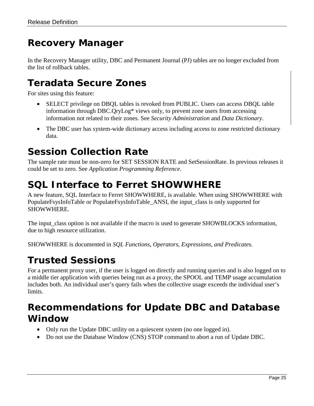## <span id="page-24-0"></span>*Recovery Manager*

In the Recovery Manager utility, DBC and Permanent Journal (PJ) tables are no longer excluded from the list of rollback tables.

## <span id="page-24-1"></span>*Teradata Secure Zones*

For sites using this feature:

- SELECT privilege on DBQL tables is revoked from PUBLIC. Users can access DBQL table information through DBC.QryLog\* views only, to prevent zone users from accessing information not related to their zones. See *Security Administration* and *Data Dictionary*.
- The DBC user has system-wide dictionary access including access to zone restricted dictionary data.

### <span id="page-24-2"></span>*Session Collection Rate*

The sample rate must be non-zero for SET SESSION RATE and SetSessionRate. In previous releases it could be set to zero. See *Application Programming Reference*.

## <span id="page-24-3"></span>*SQL Interface to Ferret SHOWWHERE*

A new feature, SQL Interface to Ferret SHOWWHERE, is available. When using SHOWWHERE with PopulateFsysInfoTable or PopulateFsysInfoTable\_ANSI, the input\_class is only supported for SHOWWHERE.

The input\_class option is not available if the macro is used to generate SHOWBLOCKS information, due to high resource utilization.

<span id="page-24-4"></span>SHOWWHERE is documented in *SQL Functions, Operators, Expressions, and Predicates*.

## *Trusted Sessions*

For a permanent proxy user, if the user is logged on directly and running queries and is also logged on to a middle tier application with queries being run as a proxy, the SPOOL and TEMP usage accumulation includes both. An individual user's query fails when the collective usage exceeds the individual user's limits.

### <span id="page-24-5"></span>*Recommendations for Update DBC and Database Window*

- Only run the Update DBC utility on a quiescent system (no one logged in).
- Do not use the Database Window (CNS) STOP command to abort a run of Update DBC.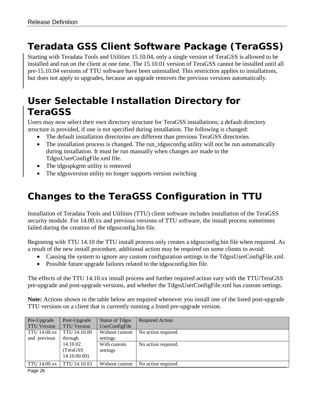## <span id="page-25-0"></span>*Teradata GSS Client Software Package (TeraGSS)*

Starting with Teradata Tools and Utilities 15.10.04, only a single version of TeraGSS is allowed to be installed and run on the client at one time. The 15.10.01 version of TeraGSS cannot be installed until all pre-15.10.04 versions of TTU software have been uninstalled. This restriction applies to installations, but does not apply to upgrades, because an upgrade removes the previous versions automatically.

## <span id="page-25-1"></span>*User Selectable Installation Directory for TeraGSS*

Users may now select their own directory structure for TeraGSS installations; a default directory structure is provided, if one is not specified during installation. The following is changed:

- The default installation directories are different than previous TeraGSS directories
- The installation process is changed. The run\_tdgssconfig utility will not be run automatically during installation. It must be run manually when changes are made to the TdgssUserConfigFile.xml file.
- The tdgsspkgrm utility is removed
- The tdgssversion utility no longer supports version switching

## <span id="page-25-2"></span>*Changes to the TeraGSS Configuration in TTU*

Installation of Teradata Tools and Utilities (TTU) client software includes installation of the TeraGSS security module. For 14.00.xx and previous versions of TTU software, the install process sometimes failed during the creation of the tdgssconfig.bin file.

Beginning with TTU 14.10 the TTU install process only creates a tdgssconfig.bin file when required. As a result of the new install procedure, additional action may be required on some clients to avoid:

- Causing the system to ignore any custom configuration settings in the TdgssUserConfigFile.xml.
- Possible future upgrade failures related to the tdgssconfig.bin file.

The effects of the TTU 14.10.xx install process and further required action vary with the TTU/TeraGSS pre-upgrade and post-upgrade versions, and whether the TdgssUserConfigFile.xml has custom settings.

**Note:** Actions shown in the table below are required whenever you install one of the listed post-upgrade TTU versions on a client that is currently running a listed pre-upgrade version.

| Pre-Upgrade         | Post-Upgrade                         | <b>Status of Tdgss</b>  | <b>Required Action</b> |
|---------------------|--------------------------------------|-------------------------|------------------------|
| <b>TTU Version</b>  | <b>TTU Version</b>                   | UserConfigFile          |                        |
| <b>TTU 14.00.xx</b> | TTU 14.10.00                         | Without custom          | No action required.    |
| and previous        | through                              | settings                |                        |
|                     | 14.10.02<br>(TeraGSS<br>14.10.00.00) | With custom<br>settings | No action required.    |
| <b>TTU 14.00.xx</b> | TTU 14.10.03                         | Without custom          | No action required.    |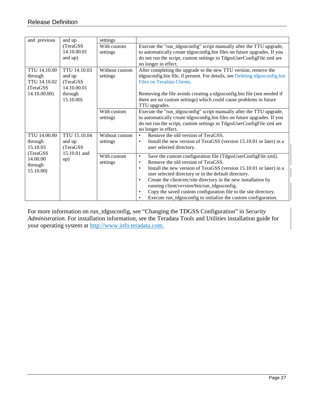| and previous                                                                                                                                            | and up                                                                     | settings                                                                                                                                                                                                                                          |                                                                                                                                                                                                                                                                                                                                                                                                                                                                                                                                                                          |  |
|---------------------------------------------------------------------------------------------------------------------------------------------------------|----------------------------------------------------------------------------|---------------------------------------------------------------------------------------------------------------------------------------------------------------------------------------------------------------------------------------------------|--------------------------------------------------------------------------------------------------------------------------------------------------------------------------------------------------------------------------------------------------------------------------------------------------------------------------------------------------------------------------------------------------------------------------------------------------------------------------------------------------------------------------------------------------------------------------|--|
|                                                                                                                                                         | (TeraGSS)<br>14.10.00.01<br>and up)                                        | With custom<br>settings                                                                                                                                                                                                                           | Execute the "run_tdgssconfig" script manually after the TTU upgrade,<br>to automatically create tdgssconfig.bin files on future upgrades. If you<br>do not run the script, custom settings in TdgssUserConfigFile.xml are<br>no longer in effect.                                                                                                                                                                                                                                                                                                                        |  |
| <b>TTU 14.10.00</b><br>through<br>TTU 14.10.02<br>(TeraGSS)<br>14.10.00.00                                                                              | TTU 14.10.03<br>and up<br>(TeraGSS)<br>14.10.00.01<br>through<br>15.10.00) |                                                                                                                                                                                                                                                   | Without custom<br>After completing the upgrade to the new TTU version, remove the<br>tdgssconfig.bin file, if present. For details, see Deleting tdgssconfig.bin<br>Files on Teradata Clients.<br>Removing the file avoids creating a tdgssconfig.bin file (not needed if<br>there are no custom settings) which could cause problems in future<br>TTU upgrades.                                                                                                                                                                                                         |  |
|                                                                                                                                                         | With custom<br>settings                                                    | Execute the "run_tdgssconfig" script manually after the TTU upgrade,<br>to automatically create tdgssconfig.bin files on future upgrades. If you<br>do not run the script, custom settings in TdgssUserConfigFile.xml are<br>no longer in effect. |                                                                                                                                                                                                                                                                                                                                                                                                                                                                                                                                                                          |  |
| <b>TTU 14.00.00</b><br>TTU 15.10.04<br>through<br>and up<br>15.10.03<br>(TeraGSS<br>15.10.01 and<br>(TeraGSS<br>14.00.00<br>up)<br>through<br>15.10.00) | Without custom<br>settings                                                 | Remove the old version of TeraGSS.<br>$\bullet$<br>Install the new version of TeraGSS (version 15.10.01 or later) in a<br>$\bullet$<br>user selected directory.                                                                                   |                                                                                                                                                                                                                                                                                                                                                                                                                                                                                                                                                                          |  |
|                                                                                                                                                         |                                                                            | With custom<br>settings                                                                                                                                                                                                                           | Save the custom configuration file (TdgssUserConfigFile.xml).<br>$\bullet$<br>Remove the old version of TeraGSS.<br>$\bullet$<br>Install the new version of TeraGSS (version 15.10.01 or later) in a<br>$\bullet$<br>user selected directory or in the default directory.<br>Create the client/etc/site directory in the new installation by<br>$\bullet$<br>running client/version/bin/run_tdgssconfig.<br>Copy the saved custom configuration file to the site directory.<br>$\bullet$<br>Execute run_tdgssconfig to initialize the custom configuration.<br>$\bullet$ |  |

<span id="page-26-0"></span>For more information on run\_tdgssconfig, see "Changing the TDGSS Configuration" in *Security Administration*. For installation information, see the Teradata Tools and Utilities installation guide for your operating system at [http://www.info.teradata.com.](http://www.info.teradata.com/)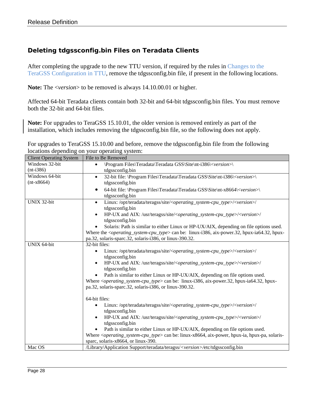#### <span id="page-27-0"></span>**Deleting tdgssconfig.bin Files on Teradata Clients**

After completing the upgrade to the new TTU version, if required by the rules in [Changes to the](#page-25-2)  [TeraGSS Configuration in TTU,](#page-25-2) remove the tdgssconfig.bin file, if present in the following locations.

**Note:** The <*version*> to be removed is always 14.10.00.01 or higher.

Affected 64-bit Teradata clients contain both 32-bit and 64-bit tdgssconfig.bin files. You must remove both the 32-bit and 64-bit files.

**Note:** For upgrades to TeraGSS 15.10.01, the older version is removed entirely as part of the installation, which includes removing the tdgssconfig.bin file, so the following does not apply.

For upgrades to TeraGSS 15.10.00 and before, remove the tdgssconfig.bin file from the following locations depending on your operating system:

| <b>Client Operating System</b> | File to Be Removed                                                                                                                                                           |  |  |
|--------------------------------|------------------------------------------------------------------------------------------------------------------------------------------------------------------------------|--|--|
| Windows 32-bit                 | \Program Files\Teradata\Teradata GSS\Site\nt-i386\ <version>\<br/><math display="inline">\bullet</math></version>                                                            |  |  |
| $(nt-i386)$                    | tdgssconfig.bin                                                                                                                                                              |  |  |
| Windows 64-bit                 | 32-bit file: \Program Files\Teradata\Teradata GSS\Site\nt-i386\ <version>\<br/><math display="inline">\bullet</math></version>                                               |  |  |
| $(nt-x8664)$                   | tdgssconfig.bin                                                                                                                                                              |  |  |
|                                | 64-bit file: \Program Files\Teradata\Teradata GSS\Site\nt-x8664\ <version>\<br/><math>\bullet</math></version>                                                               |  |  |
|                                | tdgssconfig.bin                                                                                                                                                              |  |  |
| UNIX 32-bit                    | Linux: /opt/teradata/teragss/site/ <operating_system-cpu_type>/<version>/<br/><math display="inline">\bullet</math></version></operating_system-cpu_type>                    |  |  |
|                                | tdgssconfig.bin                                                                                                                                                              |  |  |
|                                | HP-UX and AIX: /usr/teragss/site/ <operating_system-cpu_type>/<version>/<br/><math display="inline">\bullet</math></version></operating_system-cpu_type>                     |  |  |
|                                | tdgssconfig.bin                                                                                                                                                              |  |  |
|                                | Solaris: Path is similar to either Linux or HP-UX/AIX, depending on file options used.                                                                                       |  |  |
|                                | Where the <i><operating_system-cpu_type></operating_system-cpu_type></i> can be: linux-i386, aix-power.32, hpux-ia64.32, hpux-                                               |  |  |
|                                | pa.32, solaris-sparc.32, solaris-i386, or linux-390.32.                                                                                                                      |  |  |
| <b>UNIX 64-bit</b>             | 32-bit files:                                                                                                                                                                |  |  |
|                                | Linux:/opt/teradata/teragss/site/ <operating_system-cpu_type>/<version>/<br/><math display="inline">\bullet</math></version></operating_system-cpu_type>                     |  |  |
|                                | tdgssconfig.bin                                                                                                                                                              |  |  |
|                                | HP-UX and AIX: /usr/teragss/site/ <operating_system-cpu_type>/<version>/</version></operating_system-cpu_type>                                                               |  |  |
|                                | tdgssconfig.bin                                                                                                                                                              |  |  |
|                                | Path is similar to either Linux or HP-UX/AIX, depending on file options used.<br>$\bullet$                                                                                   |  |  |
|                                | Where <operating_system-cpu_type> can be: linux-i386, aix-power.32, hpux-ia64.32, hpux-</operating_system-cpu_type>                                                          |  |  |
|                                | pa.32, solaris-sparc.32, solaris-i386, or linux-390.32.                                                                                                                      |  |  |
|                                | 64-bit files:                                                                                                                                                                |  |  |
|                                |                                                                                                                                                                              |  |  |
|                                | Linux:/opt/teradata/teragss/site/ <operating_system-cpu_type>/<version>/<br/><math display="inline">\bullet</math><br/>tdgssconfig.bin</version></operating_system-cpu_type> |  |  |
|                                | HP-UX and AIX: /usr/teragss/site/ <operating_system-cpu_type>/<version>/</version></operating_system-cpu_type>                                                               |  |  |
|                                | tdgssconfig.bin                                                                                                                                                              |  |  |
|                                | Path is similar to either Linux or HP-UX/AIX, depending on file options used.                                                                                                |  |  |
|                                | Where < <i>operating_system-cpu_type&gt;</i> can be: linux-x8664, aix-power, hpux-ia, hpux-pa, solaris-                                                                      |  |  |
|                                | sparc, solaris-x8664, or linux-390.                                                                                                                                          |  |  |
| Mac OS                         |                                                                                                                                                                              |  |  |
|                                | /Library/Application Support/teradata/teragss/ <version>/etc/tdgssconfig.bin</version>                                                                                       |  |  |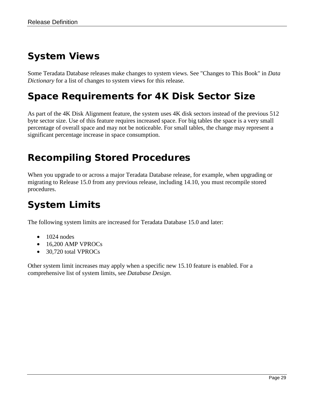## <span id="page-28-0"></span>*System Views*

Some Teradata Database releases make changes to system views. See "Changes to This Book" in *Data Dictionary* for a list of changes to system views for this release.

## <span id="page-28-1"></span>*Space Requirements for 4K Disk Sector Size*

As part of the 4K Disk Alignment feature, the system uses 4K disk sectors instead of the previous 512 byte sector size. Use of this feature requires increased space. For big tables the space is a very small percentage of overall space and may not be noticeable. For small tables, the change may represent a significant percentage increase in space consumption.

## <span id="page-28-2"></span>*Recompiling Stored Procedures*

When you upgrade to or across a major Teradata Database release, for example, when upgrading or migrating to Release 15.0 from any previous release, including 14.10, you must recompile stored procedures.

## <span id="page-28-3"></span>*System Limits*

The following system limits are increased for Teradata Database 15.0 and later:

- $\bullet$  1024 nodes
- 16,200 AMP VPROCs
- 30,720 total VPROCs

Other system limit increases may apply when a specific new 15.10 feature is enabled. For a comprehensive list of system limits, see *Database Design*.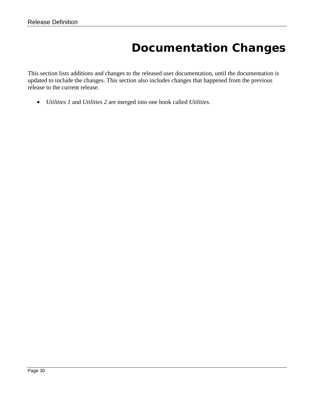## **Documentation Changes**

<span id="page-29-0"></span>This section lists additions and changes to the released user documentation, until the documentation is updated to include the changes. This section also includes changes that happened from the previous release to the current release.

• *Utilities 1* and *Utilities 2* are merged into one book called *Utilities.*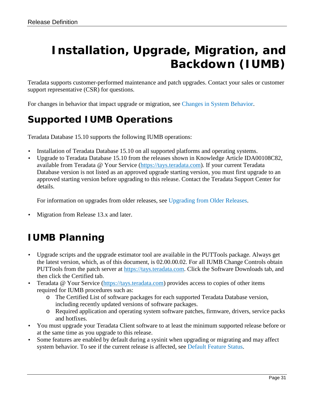# <span id="page-30-0"></span>**Installation, Upgrade, Migration, and Backdown (IUMB)**

Teradata supports customer-performed maintenance and patch upgrades. Contact your sales or customer support representative (CSR) for questions.

<span id="page-30-1"></span>For changes in behavior that impact upgrade or migration, see [Changes in System Behavior.](#page-22-0)

## *Supported IUMB Operations*

Teradata Database 15.10 supports the following IUMB operations:

- Installation of Teradata Database 15.10 on all supported platforms and operating systems.
- Upgrade to Teradata Database 15.10 from the releases shown in Knowledge Article IDA00108C82, available from Teradata @ Your Service [\(https://tays.teradata.com\)](https://tays.teradata.com/). If your current Teradata Database version is not listed as an approved upgrade starting version, you must first upgrade to an approved starting version before upgrading to this release. Contact the Teradata Support Center for details.

For information on upgrades from older releases, see [Upgrading from Older Releases.](#page-31-3)

• Migration from Release 13.x and later.

## <span id="page-30-2"></span>*IUMB Planning*

- Upgrade scripts and the upgrade estimator tool are available in the PUTTools package. Always get the latest version, which, as of this document, is 02.00.00.02. For all IUMB Change Controls obtain PUTTools from the patch server at [https://tays.teradata.com.](https://tays.teradata.com/) Click the Software Downloads tab, and then click the Certified tab.
- Teradata @ Your Service [\(https://tays.teradata.com\)](https://tays.teradata.com/) provides access to copies of other items required for IUMB procedures such as:
	- o The Certified List of software packages for each supported Teradata Database version, including recently updated versions of software packages.
	- o Required application and operating system software patches, firmware, drivers, service packs and hotfixes.
- You must upgrade your Teradata Client software to at least the minimum supported release before or at the same time as you upgrade to this release.
- Some features are enabled by default during a sysinit when upgrading or migrating and may affect system behavior. To see if the current release is affected, see [Default Feature Status.](#page-22-1)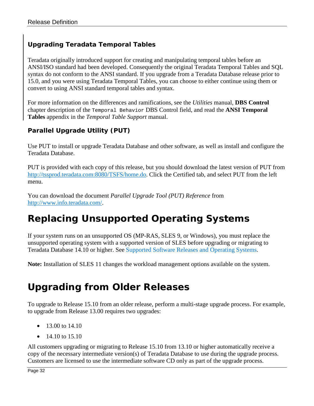#### <span id="page-31-0"></span>**Upgrading Teradata Temporal Tables**

Teradata originally introduced support for creating and manipulating temporal tables before an ANSI/ISO standard had been developed. Consequently the original Teradata Temporal Tables and SQL syntax do not conform to the ANSI standard. If you upgrade from a Teradata Database release prior to 15.0, and you were using Teradata Temporal Tables, you can choose to either continue using them or convert to using ANSI standard temporal tables and syntax.

For more information on the differences and ramifications, see the *Utilities* manual, **DBS Control** chapter description of the Temporal Behavior DBS Control field, and read the **ANSI Temporal Tables** appendix in the *Temporal Table Support* manual.

#### <span id="page-31-1"></span>**Parallel Upgrade Utility (PUT)**

Use PUT to install or upgrade Teradata Database and other software, as well as install and configure the Teradata Database.

PUT is provided with each copy of this release, but you should download the latest version of PUT from [http://tssprod.teradata.com:8080/TSFS/home.do.](http://tssprod.teradata.com:8080/TSFS/home.do) Click the Certified tab, and select PUT from the left menu.

You can download the document *Parallel Upgrade Tool (PUT) Reference* from [http://www.info.teradata.com/.](http://www.info.teradata.com/)

## <span id="page-31-2"></span>*Replacing Unsupported Operating Systems*

If your system runs on an unsupported OS (MP-RAS, SLES 9, or Windows), you must replace the unsupported operating system with a supported version of SLES before upgrading or migrating to Teradata Database 14.10 or higher. See [Supported Software Releases and Operating Systems.](#page-5-2)

**Note:** Installation of SLES 11 changes the workload management options available on the system.

## <span id="page-31-3"></span>*Upgrading from Older Releases*

To upgrade to Release 15.10 from an older release, perform a multi-stage upgrade process. For example, to upgrade from Release 13.00 requires two upgrades:

- 13.00 to 14.10
- 14.10 to  $15.10$

All customers upgrading or migrating to Release 15.10 from 13.10 or higher automatically receive a copy of the necessary intermediate version(s) of Teradata Database to use during the upgrade process. Customers are licensed to use the intermediate software CD only as part of the upgrade process.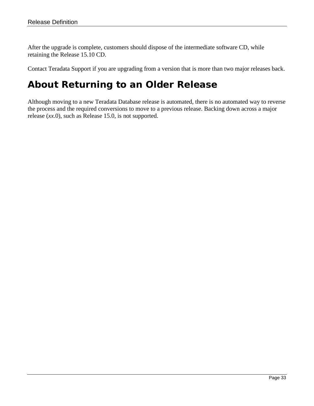After the upgrade is complete, customers should dispose of the intermediate software CD, while retaining the Release 15.10 CD.

<span id="page-32-0"></span>Contact Teradata Support if you are upgrading from a version that is more than two major releases back.

## *About Returning to an Older Release*

Although moving to a new Teradata Database release is automated, there is no automated way to reverse the process and the required conversions to move to a previous release. Backing down across a major release (*xx*.0), such as Release 15.0, is not supported.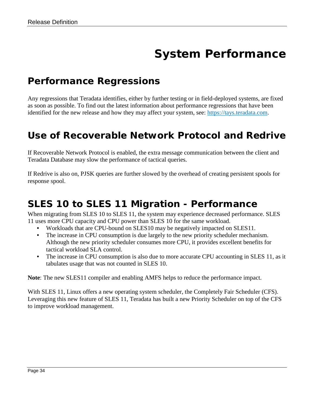# **System Performance**

#### <span id="page-33-1"></span><span id="page-33-0"></span>*Performance Regressions*

Any regressions that Teradata identifies, either by further testing or in field-deployed systems, are fixed as soon as possible. To find out the latest information about performance regressions that have been identified for the new release and how they may affect your system, see: [https://tays.teradata.com.](https://tays.teradata.com/)

### <span id="page-33-2"></span>*Use of Recoverable Network Protocol and Redrive*

If Recoverable Network Protocol is enabled, the extra message communication between the client and Teradata Database may slow the performance of tactical queries.

If Redrive is also on, PJSK queries are further slowed by the overhead of creating persistent spools for response spool.

### <span id="page-33-3"></span>*SLES 10 to SLES 11 Migration - Performance*

When migrating from SLES 10 to SLES 11, the system may experience decreased performance. SLES 11 uses more CPU capacity and CPU power than SLES 10 for the same workload.

- Workloads that are CPU-bound on SLES10 may be negatively impacted on SLES11.
- The increase in CPU consumption is due largely to the new priority scheduler mechanism. Although the new priority scheduler consumes more CPU, it provides excellent benefits for tactical workload SLA control.
- The increase in CPU consumption is also due to more accurate CPU accounting in SLES 11, as it tabulates usage that was not counted in SLES 10.

**Note**: The new SLES11 compiler and enabling AMFS helps to reduce the performance impact.

<span id="page-33-4"></span>With SLES 11, Linux offers a new operating system scheduler, the Completely Fair Scheduler (CFS). Leveraging this new feature of SLES 11, Teradata has built a new Priority Scheduler on top of the CFS to improve workload management.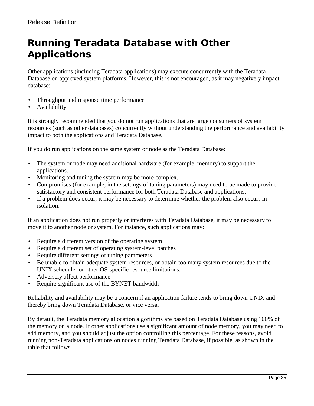## <span id="page-34-0"></span>*Running Teradata Database with Other Applications*

Other applications (including Teradata applications) may execute concurrently with the Teradata Database on approved system platforms. However, this is not encouraged, as it may negatively impact database:

- Throughput and response time performance
- **Availability**

It is strongly recommended that you do not run applications that are large consumers of system resources (such as other databases) concurrently without understanding the performance and availability impact to both the applications and Teradata Database.

If you do run applications on the same system or node as the Teradata Database:

- The system or node may need additional hardware (for example, memory) to support the applications.
- Monitoring and tuning the system may be more complex.
- Compromises (for example, in the settings of tuning parameters) may need to be made to provide satisfactory and consistent performance for both Teradata Database and applications.
- If a problem does occur, it may be necessary to determine whether the problem also occurs in isolation.

If an application does not run properly or interferes with Teradata Database, it may be necessary to move it to another node or system. For instance, such applications may:

- Require a different version of the operating system
- Require a different set of operating system-level patches
- Require different settings of tuning parameters
- Be unable to obtain adequate system resources, or obtain too many system resources due to the UNIX scheduler or other OS-specific resource limitations.
- Adversely affect performance
- Require significant use of the BYNET bandwidth

Reliability and availability may be a concern if an application failure tends to bring down UNIX and thereby bring down Teradata Database, or vice versa.

By default, the Teradata memory allocation algorithms are based on Teradata Database using 100% of the memory on a node. If other applications use a significant amount of node memory, you may need to add memory, and you should adjust the option controlling this percentage. For these reasons, avoid running non-Teradata applications on nodes running Teradata Database, if possible, as shown in the table that follows.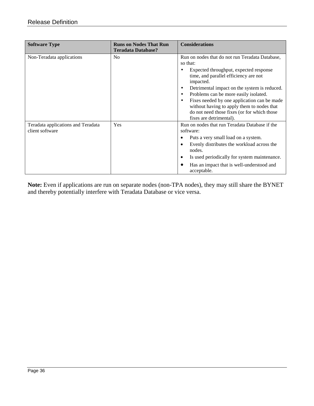| <b>Software Type</b>                                  | <b>Runs on Nodes That Run</b><br><b>Teradata Database?</b> | <b>Considerations</b>                                                                                                                                                                                                                                                                                                                                                                                                       |
|-------------------------------------------------------|------------------------------------------------------------|-----------------------------------------------------------------------------------------------------------------------------------------------------------------------------------------------------------------------------------------------------------------------------------------------------------------------------------------------------------------------------------------------------------------------------|
| Non-Teradata applications                             | No                                                         | Run on nodes that do not run Teradata Database,<br>so that:<br>Expected throughput, expected response<br>time, and parallel efficiency are not<br>impacted.<br>Detrimental impact on the system is reduced.<br>Problems can be more easily isolated.<br>Fixes needed by one application can be made<br>without having to apply them to nodes that<br>do not need those fixes (or for which those<br>fixes are detrimental). |
| Teradata applications and Teradata<br>client software | Yes                                                        | Run on nodes that run Teradata Database if the<br>software:<br>Puts a very small load on a system.<br>Evenly distributes the workload across the<br>c<br>nodes.<br>Is used periodically for system maintenance.<br>$\epsilon$<br>Has an impact that is well-understood and<br>acceptable.                                                                                                                                   |

**Note:** Even if applications are run on separate nodes (non-TPA nodes), they may still share the BYNET and thereby potentially interfere with Teradata Database or vice versa.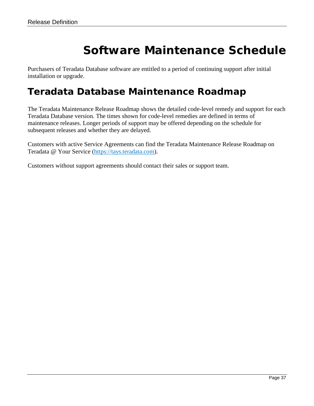# **Software Maintenance Schedule**

<span id="page-36-0"></span>Purchasers of Teradata Database software are entitled to a period of continuing support after initial installation or upgrade.

## <span id="page-36-1"></span>*Teradata Database Maintenance Roadmap*

The Teradata Maintenance Release Roadmap shows the detailed code-level remedy and support for each Teradata Database version. The times shown for code-level remedies are defined in terms of maintenance releases. Longer periods of support may be offered depending on the schedule for subsequent releases and whether they are delayed.

Customers with active Service Agreements can find the Teradata Maintenance Release Roadmap on Teradata @ Your Service [\(https://tays.teradata.com\)](https://tays.teradata.com/).

Customers without support agreements should contact their sales or support team.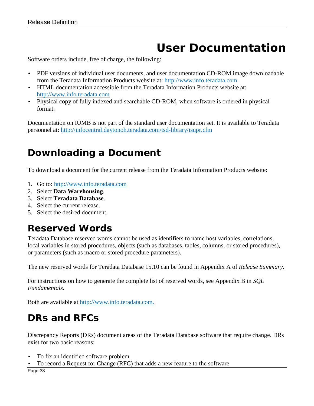# **User Documentation**

<span id="page-37-0"></span>Software orders include, free of charge, the following:

- PDF versions of individual user documents, and user documentation CD-ROM image downloadable from the Teradata Information Products website at: [http://www.info.teradata.com.](http://www.info.teradata.com/)
- HTML documentation accessible from the Teradata Information Products website at: [http://www.info.teradata.com](http://www.info.teradata.com/)
- Physical copy of fully indexed and searchable CD-ROM, when software is ordered in physical format.

Documentation on IUMB is not part of the standard user documentation set. It is available to Teradata personnel at:<http://infocentral.daytonoh.teradata.com/tsd-library/isupr.cfm>

## <span id="page-37-1"></span>*Downloading a Document*

To download a document for the current release from the Teradata Information Products website:

- 1. Go to: [http://www.info.teradata.com](http://www.info.teradata.com/)
- 2. Select **Data Warehousing**.
- 3. Select **Teradata Database**.
- 4. Select the current release.
- <span id="page-37-2"></span>5. Select the desired document.

## *Reserved Words*

Teradata Database reserved words cannot be used as identifiers to name host variables, correlations, local variables in stored procedures, objects (such as databases, tables, columns, or stored procedures), or parameters (such as macro or stored procedure parameters).

The new reserved words for Teradata Database 15.10 can be found in Appendix A of *Release Summary*.

For instructions on how to generate the complete list of reserved words, see Appendix B in *SQL Fundamentals*.

<span id="page-37-3"></span>Both are available at [http://www.info.teradata.com.](http://www.info.teradata.com/)

## *DRs and RFCs*

Discrepancy Reports (DRs) document areas of the Teradata Database software that require change. DRs exist for two basic reasons:

- To fix an identified software problem
- To record a Request for Change (RFC) that adds a new feature to the software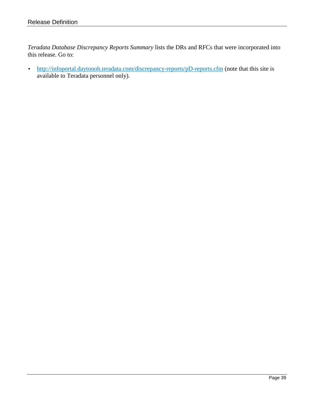*Teradata Database Discrepancy Reports Summary* lists the DRs and RFCs that were incorporated into this release. Go to:

• <http://infoportal.daytonoh.teradata.com/discrepancy-reports/pD-reports.cfm> (note that this site is available to Teradata personnel only).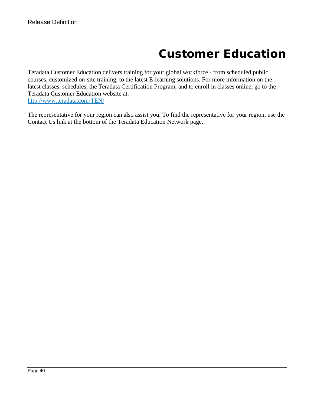# **Customer Education**

<span id="page-39-0"></span>Teradata Customer Education delivers training for your global workforce - from scheduled public courses, customized on-site training, to the latest E-learning solutions. For more information on the latest classes, schedules, the Teradata Certification Program, and to enroll in classes online, go to the Teradata Customer Education website at: <http://www.teradata.com/TEN/>

The representative for your region can also assist you. To find the representative for your region, use the Contact Us link at the bottom of the Teradata Education Network page.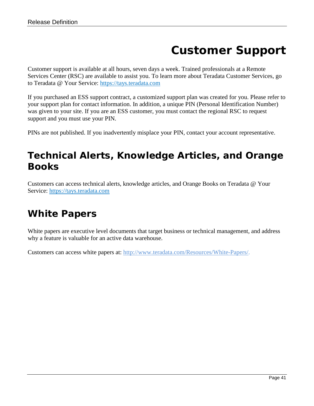# **Customer Support**

<span id="page-40-0"></span>Customer support is available at all hours, seven days a week. Trained professionals at a Remote Services Center (RSC) are available to assist you. To learn more about Teradata Customer Services, go to Teradata @ Your Service: [https://tays.teradata.com](https://tays.teradata.com/)

If you purchased an ESS support contract, a customized support plan was created for you. Please refer to your support plan for contact information. In addition, a unique PIN (Personal Identification Number) was given to your site. If you are an ESS customer, you must contact the regional RSC to request support and you must use your PIN.

PINs are not published. If you inadvertently misplace your PIN, contact your account representative.

## <span id="page-40-1"></span>*Technical Alerts, Knowledge Articles, and Orange Books*

Customers can access technical alerts, knowledge articles, and Orange Books on Teradata @ Your Service: [https://tays.teradata.com](https://tays.teradata.com/)

## <span id="page-40-2"></span>*White Papers*

White papers are executive level documents that target business or technical management, and address why a feature is valuable for an active data warehouse.

Customers can access white papers at: [http://www.teradata.com/Resources/White-Papers/.](http://www.teradata.com/Resources/White-Papers/)